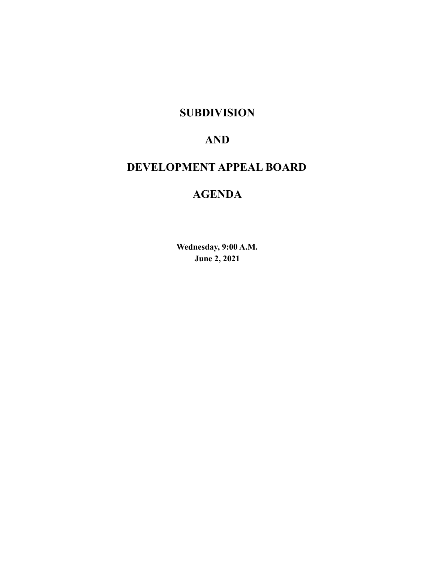### **SUBDIVISION**

### **AND**

# **DEVELOPMENT APPEAL BOARD**

## **AGENDA**

**Wednesday, 9:00 A.M. June 2, 2021**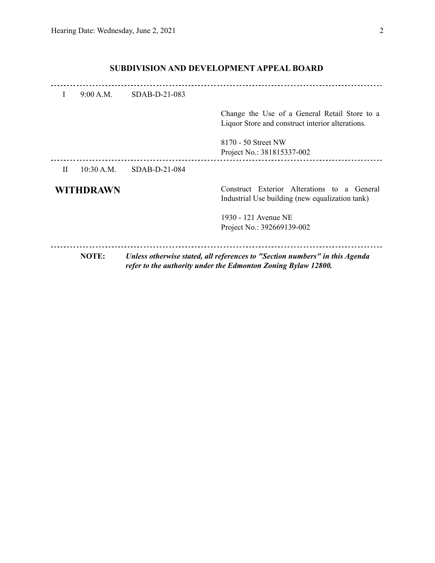### **SUBDIVISION AND DEVELOPMENT APPEAL BOARD**

| Ι            | 9:00 A.M.    | $SDAB-D-21-083$ |                                                                                                                                              |
|--------------|--------------|-----------------|----------------------------------------------------------------------------------------------------------------------------------------------|
|              |              |                 | Change the Use of a General Retail Store to a<br>Liquor Store and construct interior alterations.                                            |
|              |              |                 | 8170 - 50 Street NW<br>Project No.: 381815337-002                                                                                            |
| $\mathbf{H}$ | 10:30 A.M.   | $SDAB-D-21-084$ |                                                                                                                                              |
|              | WITHDRAWN    |                 | Construct Exterior Alterations to a General<br>Industrial Use building (new equalization tank)                                               |
|              |              |                 | 1930 - 121 Avenue NE                                                                                                                         |
|              |              |                 | Project No.: 392669139-002                                                                                                                   |
|              | <b>NOTE:</b> |                 | Unless otherwise stated, all references to "Section numbers" in this Agenda<br>refer to the authority under the Edmonton Zoning Bylaw 12800. |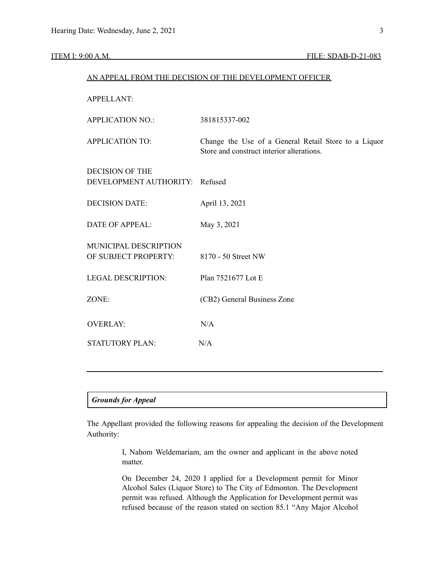| AN APPEAL FROM THE DECISION OF THE DEVELOPMENT OFFICER   |                                                                                                   |  |  |  |  |  |
|----------------------------------------------------------|---------------------------------------------------------------------------------------------------|--|--|--|--|--|
| <b>APPELLANT:</b>                                        |                                                                                                   |  |  |  |  |  |
| <b>APPLICATION NO.:</b>                                  | 381815337-002                                                                                     |  |  |  |  |  |
| <b>APPLICATION TO:</b>                                   | Change the Use of a General Retail Store to a Liquor<br>Store and construct interior alterations. |  |  |  |  |  |
| <b>DECISION OF THE</b><br>DEVELOPMENT AUTHORITY: Refused |                                                                                                   |  |  |  |  |  |
| <b>DECISION DATE:</b>                                    | April 13, 2021                                                                                    |  |  |  |  |  |
| <b>DATE OF APPEAL:</b>                                   | May 3, 2021                                                                                       |  |  |  |  |  |
| MUNICIPAL DESCRIPTION<br>OF SUBJECT PROPERTY:            | 8170 - 50 Street NW                                                                               |  |  |  |  |  |
| <b>LEGAL DESCRIPTION:</b>                                | Plan 7521677 Lot E                                                                                |  |  |  |  |  |
| ZONE:                                                    | (CB2) General Business Zone                                                                       |  |  |  |  |  |
| <b>OVERLAY:</b>                                          | N/A                                                                                               |  |  |  |  |  |
| <b>STATUTORY PLAN:</b>                                   | N/A                                                                                               |  |  |  |  |  |

#### *Grounds for Appeal*

The Appellant provided the following reasons for appealing the decision of the Development Authority:

> I, Nahom Weldemariam, am the owner and applicant in the above noted matter.

> On December 24, 2020 I applied for a Development permit for Minor Alcohol Sales (Liquor Store) to The City of Edmonton. The Development permit was refused. Although the Application for Development permit was refused because of the reason stated on section 85.1 "Any Major Alcohol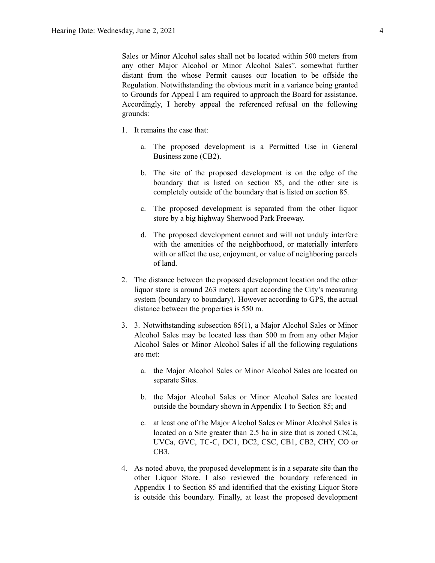Sales or Minor Alcohol sales shall not be located within 500 meters from any other Major Alcohol or Minor Alcohol Sales". somewhat further distant from the whose Permit causes our location to be offside the Regulation. Notwithstanding the obvious merit in a variance being granted to Grounds for Appeal I am required to approach the Board for assistance. Accordingly, I hereby appeal the referenced refusal on the following grounds:

- 1. It remains the case that:
	- a. The proposed development is a Permitted Use in General Business zone (CB2).
	- b. The site of the proposed development is on the edge of the boundary that is listed on section 85, and the other site is completely outside of the boundary that is listed on section 85.
	- c. The proposed development is separated from the other liquor store by a big highway Sherwood Park Freeway.
	- d. The proposed development cannot and will not unduly interfere with the amenities of the neighborhood, or materially interfere with or affect the use, enjoyment, or value of neighboring parcels of land.
- 2. The distance between the proposed development location and the other liquor store is around 263 meters apart according the City's measuring system (boundary to boundary). However according to GPS, the actual distance between the properties is 550 m.
- 3. 3. Notwithstanding subsection 85(1), a Major Alcohol Sales or Minor Alcohol Sales may be located less than 500 m from any other Major Alcohol Sales or Minor Alcohol Sales if all the following regulations are met:
	- a. the Major Alcohol Sales or Minor Alcohol Sales are located on separate Sites.
	- b. the Major Alcohol Sales or Minor Alcohol Sales are located outside the boundary shown in Appendix 1 to Section 85; and
	- c. at least one of the Major Alcohol Sales or Minor Alcohol Sales is located on a Site greater than 2.5 ha in size that is zoned CSCa, UVCa, GVC, TC-C, DC1, DC2, CSC, CB1, CB2, CHY, CO or CB3.
- 4. As noted above, the proposed development is in a separate site than the other Liquor Store. I also reviewed the boundary referenced in Appendix 1 to Section 85 and identified that the existing Liquor Store is outside this boundary. Finally, at least the proposed development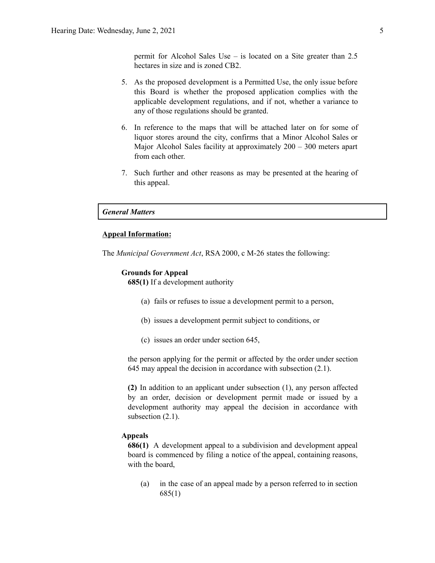permit for Alcohol Sales Use – is located on a Site greater than 2.5 hectares in size and is zoned CB2.

- 5. As the proposed development is a Permitted Use, the only issue before this Board is whether the proposed application complies with the applicable development regulations, and if not, whether a variance to any of those regulations should be granted.
- 6. In reference to the maps that will be attached later on for some of liquor stores around the city, confirms that a Minor Alcohol Sales or Major Alcohol Sales facility at approximately 200 – 300 meters apart from each other.
- 7. Such further and other reasons as may be presented at the hearing of this appeal.

### *General Matters*

#### **Appeal Information:**

The *Municipal Government Act*, RSA 2000, c M-26 states the following:

#### **Grounds for Appeal**

**685(1)** If a development authority

- (a) fails or refuses to issue a development permit to a person,
- (b) issues a development permit subject to conditions, or
- (c) issues an order under section 645,

the person applying for the permit or affected by the order under section 645 may appeal the decision in accordance with subsection (2.1).

**(2)** In addition to an applicant under subsection (1), any person affected by an order, decision or development permit made or issued by a development authority may appeal the decision in accordance with subsection  $(2.1)$ .

#### **Appeals**

**686(1)** A development appeal to a subdivision and development appeal board is commenced by filing a notice of the appeal, containing reasons, with the board,

(a) in the case of an appeal made by a person referred to in section 685(1)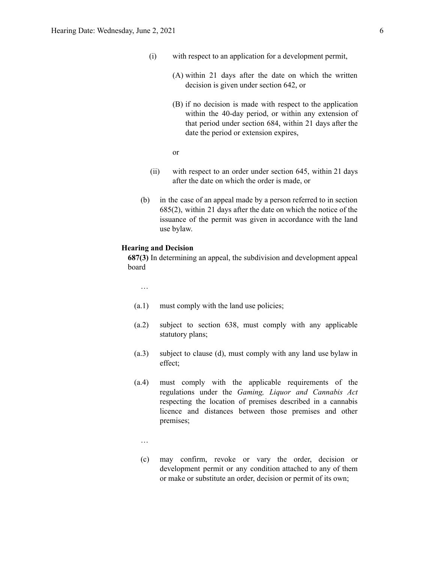- (i) with respect to an application for a development permit,
	- (A) within 21 days after the date on which the written decision is given under section 642, or
	- (B) if no decision is made with respect to the application within the 40-day period, or within any extension of that period under section 684, within 21 days after the date the period or extension expires,
	- or
- (ii) with respect to an order under section 645, within 21 days after the date on which the order is made, or
- (b) in the case of an appeal made by a person referred to in section 685(2), within 21 days after the date on which the notice of the issuance of the permit was given in accordance with the land use bylaw.

#### **Hearing and Decision**

**687(3)** In determining an appeal, the subdivision and development appeal board

…

- (a.1) must comply with the land use policies;
- (a.2) subject to section 638, must comply with any applicable statutory plans;
- (a.3) subject to clause (d), must comply with any land use bylaw in effect;
- (a.4) must comply with the applicable requirements of the regulations under the *Gaming, Liquor and Cannabis Act* respecting the location of premises described in a cannabis licence and distances between those premises and other premises;
	- …
	- (c) may confirm, revoke or vary the order, decision or development permit or any condition attached to any of them or make or substitute an order, decision or permit of its own;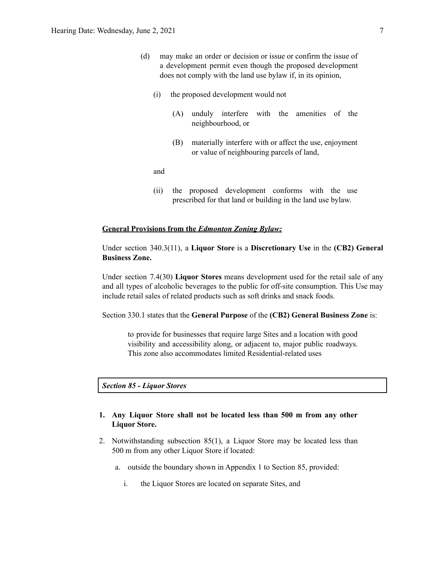- (d) may make an order or decision or issue or confirm the issue of a development permit even though the proposed development does not comply with the land use bylaw if, in its opinion,
	- (i) the proposed development would not
		- (A) unduly interfere with the amenities of the neighbourhood, or
		- (B) materially interfere with or affect the use, enjoyment or value of neighbouring parcels of land,

and

(ii) the proposed development conforms with the use prescribed for that land or building in the land use bylaw.

#### **General Provisions from the** *Edmonton Zoning Bylaw:*

Under section 340.3(11), a **Liquor Store** is a **Discretionary Use** in the **(CB2) General Business Zone.**

Under section 7.4(30) **Liquor Stores** means development used for the retail sale of any and all types of alcoholic beverages to the public for off-site consumption. This Use may include retail sales of related products such as soft drinks and snack foods.

Section 330.1 states that the **General Purpose** of the **(CB2) General Business Zone** is:

to provide for businesses that require large Sites and a location with good visibility and accessibility along, or adjacent to, major public roadways. This zone also accommodates limited Residential-related uses

*Section 85 - Liquor Stores*

### **1. Any Liquor Store shall not be located less than [500](https://webdocs.edmonton.ca/InfraPlan/zoningbylaw/ZoningBylaw/Measurements/im500.htm) m from any other Liquor Store.**

- 2. Notwithstanding subsection 85(1), a Liquor Store may be located less than [500](https://webdocs.edmonton.ca/InfraPlan/zoningbylaw/ZoningBylaw/Measurements/im500.htm) m from any other Liquor Store if located:
	- a. outside the boundary shown in Appendix 1 to Section 85, provided:
		- i. the Liquor Stores are located on separate Sites, and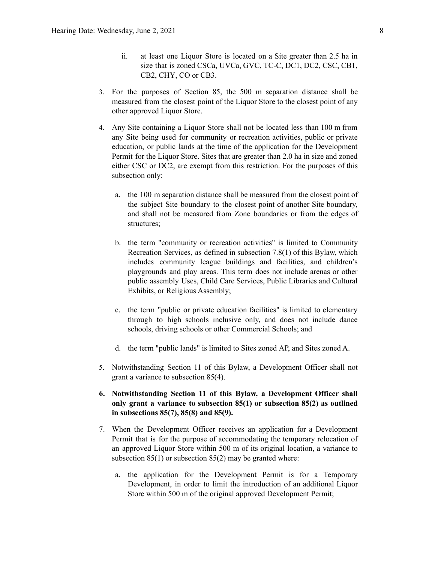- ii. at least one Liquor Store is located on a Site greater than 2.5 ha in size that is zoned [CSCa](https://webdocs.edmonton.ca/InfraPlan/zoningbylaw/ZoningBylaw/Part2/Special_Areas/960_5_(CSCa)_Ambleside_Shopping_Centre_Zone.htm), [UVCa,](https://webdocs.edmonton.ca/InfraPlan/zoningbylaw/ZoningBylaw/Part2/Special_Areas/960.6_(UVCa)_Ambleside_Urban_Village_Commercial_Zone.htm) [GVC,](https://webdocs.edmonton.ca/InfraPlan/zoningbylaw/ZoningBylaw/Part2/Special_Areas/940_6_(GVC)_Griesbach_Village_Centre_Zone.htm) [TC-C](https://webdocs.edmonton.ca/InfraPlan/zoningbylaw/ZoningBylaw/Part2/Special_Areas/990_4_(TC-C)_Heritage_Valley_Town_Centre_Commercial_Zone.htm), [DC1](https://webdocs.edmonton.ca/InfraPlan/zoningbylaw/ZoningBylaw/Part2/Direct/710_(DC1)_Direct_Development_Control_Provision.htm), [DC2,](https://webdocs.edmonton.ca/InfraPlan/zoningbylaw/ZoningBylaw/Part2/Direct/720_(DC2)_Site_Specific_Development_Control_Provision.htm) [CSC,](https://webdocs.edmonton.ca/InfraPlan/zoningbylaw/ZoningBylaw/Part2/Commercial/320_(CSC)_Shopping_Centre_Zone.htm) [CB1,](https://webdocs.edmonton.ca/InfraPlan/zoningbylaw/ZoningBylaw/Part2/Commercial/330_(CB1)_Low_Intensity_Business_Zone.htm) [CB2](https://webdocs.edmonton.ca/InfraPlan/zoningbylaw/ZoningBylaw/Part2/Commercial/340_(CB2)_General_Business_Zone.htm), [CHY,](https://webdocs.edmonton.ca/InfraPlan/zoningbylaw/ZoningBylaw/Part2/Commercial/350_(CHY)_Highway_Corridor_Zone.htm) [CO](https://webdocs.edmonton.ca/InfraPlan/zoningbylaw/ZoningBylaw/Part2/Commercial/360_(CO)_Commercial_Office_Zone.htm) or [CB3](https://webdocs.edmonton.ca/InfraPlan/zoningbylaw/ZoningBylaw/Part2/Commercial/370_(CB3)_Commercial_Mixed_Business_Zone.htm).
- 3. For the purposes of Section 85, the [500](https://webdocs.edmonton.ca/InfraPlan/zoningbylaw/ZoningBylaw/Measurements/im500.htm) m separation distance shall be measured from the closest point of the Liquor Store to the closest point of any other approved Liquor Store.
- 4. Any Site containing a Liquor Store shall not be located less than 100 m from any Site being used for community or recreation activities, public or private education, or public lands at the time of the application for the Development Permit for the Liquor Store. Sites that are greater than 2.0 ha in size and zoned either CSC or DC2, are exempt from this restriction. For the purposes of this subsection only:
	- a. the 100 m separation distance shall be measured from the closest point of the subject Site boundary to the closest point of another Site boundary, and shall not be measured from Zone boundaries or from the edges of structures;
	- b. the term "community or recreation activities" is limited to Community Recreation Services, as defined in subsection 7.8(1) of this Bylaw, which includes community league buildings and facilities, and children's playgrounds and play areas. This term does not include arenas or other public assembly Uses, Child Care Services, Public Libraries and Cultural Exhibits, or Religious Assembly;
	- c. the term "public or private education facilities" is limited to elementary through to high schools inclusive only, and does not include dance schools, driving schools or other Commercial Schools; and
	- d. the term "public lands" is limited to Sites zoned AP, and Sites zoned A.
- 5. Notwithstanding Section 11 of this Bylaw, a Development Officer shall not grant a variance to subsection 85(4).
- **6. Notwithstanding Section 11 of this Bylaw, a Development Officer shall only grant a variance to subsection 85(1) or subsection 85(2) as outlined in subsections 85(7), 85(8) and 85(9).**
- 7. When the Development Officer receives an application for a Development Permit that is for the purpose of accommodating the temporary relocation of an approved Liquor Store within 500 m of its original location, a variance to subsection  $85(1)$  or subsection  $85(2)$  may be granted where:
	- a. the application for the Development Permit is for a Temporary Development, in order to limit the introduction of an additional Liquor Store within [500](https://webdocs.edmonton.ca/InfraPlan/zoningbylaw/ZoningBylaw/Measurements/im500.htm) m of the original approved Development Permit;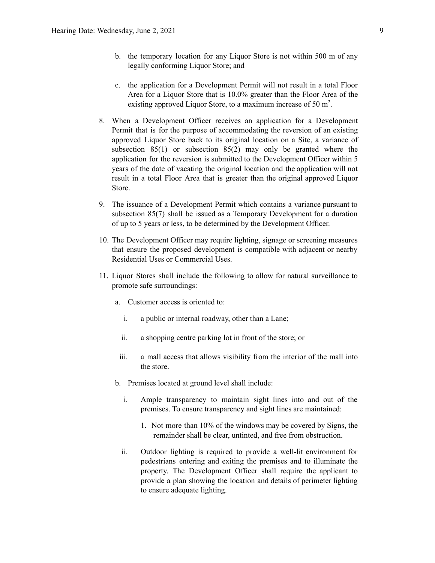- b. the temporary location for any Liquor Store is not within [500](https://webdocs.edmonton.ca/InfraPlan/zoningbylaw/ZoningBylaw/Measurements/im500.htm) m of any legally conforming Liquor Store; and
- c. the application for a Development Permit will not result in a total Floor Area for a Liquor Store that is 10.0% greater than the Floor Area of the existing approved Liquor Store, to a maximum increase of [50](https://webdocs.edmonton.ca/InfraPlan/zoningbylaw/ZoningBylaw/Measurements/ia50.htm) m<sup>2</sup>.
- 8. When a Development Officer receives an application for a Development Permit that is for the purpose of accommodating the reversion of an existing approved Liquor Store back to its original location on a Site, a variance of subsection 85(1) or subsection 85(2) may only be granted where the application for the reversion is submitted to the Development Officer within 5 years of the date of vacating the original location and the application will not result in a total Floor Area that is greater than the original approved Liquor Store.
- 9. The issuance of a Development Permit which contains a variance pursuant to subsection 85(7) shall be issued as a Temporary Development for a duration of up to 5 years or less, to be determined by the Development Officer.
- 10. The Development Officer may require lighting, signage or screening measures that ensure the proposed development is compatible with adjacent or nearby Residential Uses or Commercial Uses.
- 11. Liquor Stores shall include the following to allow for natural surveillance to promote safe surroundings:
	- a. Customer access is oriented to:
		- i. a public or internal roadway, other than a Lane;
		- ii. a shopping centre parking lot in front of the store; or
	- iii. a mall access that allows visibility from the interior of the mall into the store.
	- b. Premises located at ground level shall include:
		- i. Ample transparency to maintain sight lines into and out of the premises. To ensure transparency and sight lines are maintained:
			- 1. Not more than 10% of the windows may be covered by Signs, the remainder shall be clear, untinted, and free from obstruction.
		- ii. Outdoor lighting is required to provide a well-lit environment for pedestrians entering and exiting the premises and to illuminate the property. The Development Officer shall require the applicant to provide a plan showing the location and details of perimeter lighting to ensure adequate lighting.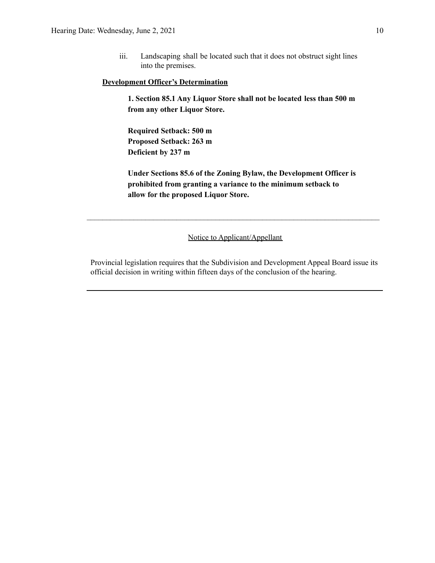iii. Landscaping shall be located such that it does not obstruct sight lines into the premises.

#### **Development Officer's Determination**

**1. Section 85.1 Any Liquor Store shall not be located less than 500 m from any other Liquor Store.**

**Required Setback: 500 m Proposed Setback: 263 m Deficient by 237 m**

**Under Sections 85.6 of the Zoning Bylaw, the Development Officer is prohibited from granting a variance to the minimum setback to allow for the proposed Liquor Store.**

Notice to Applicant/Appellant

 $\mathcal{L}_\text{max} = \frac{1}{2} \sum_{i=1}^n \mathcal{L}_\text{max} = \frac{1}{2} \sum_{i=1}^n \mathcal{L}_\text{max} = \frac{1}{2} \sum_{i=1}^n \mathcal{L}_\text{max} = \frac{1}{2} \sum_{i=1}^n \mathcal{L}_\text{max} = \frac{1}{2} \sum_{i=1}^n \mathcal{L}_\text{max} = \frac{1}{2} \sum_{i=1}^n \mathcal{L}_\text{max} = \frac{1}{2} \sum_{i=1}^n \mathcal{L}_\text{max} = \frac{1}{2} \sum_{i=$ 

Provincial legislation requires that the Subdivision and Development Appeal Board issue its official decision in writing within fifteen days of the conclusion of the hearing.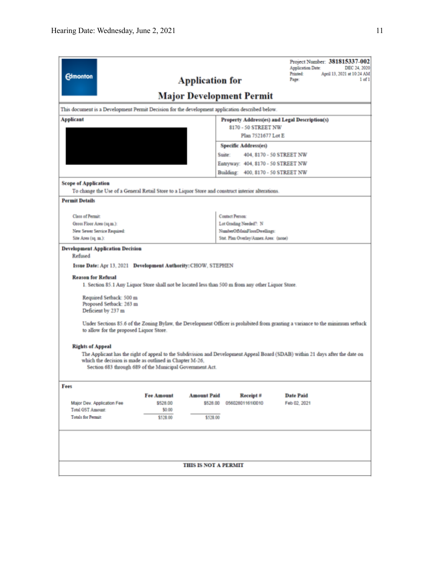| <b>Edmonton</b>                                                                                                                                                                                                                                                                                                                                                                                                                                                                                                                                                                                                                                                                                                                                                                                    |                               | <b>Application for</b><br><b>Major Development Permit</b>         |                             |                                       | Application Date:<br>Printed:<br>Page: | Project Number: 381815337-002<br>DEC 24, 2020<br>April 13, 2021 at 10:24 AM<br>$1$ of $1$ |  |  |  |  |
|----------------------------------------------------------------------------------------------------------------------------------------------------------------------------------------------------------------------------------------------------------------------------------------------------------------------------------------------------------------------------------------------------------------------------------------------------------------------------------------------------------------------------------------------------------------------------------------------------------------------------------------------------------------------------------------------------------------------------------------------------------------------------------------------------|-------------------------------|-------------------------------------------------------------------|-----------------------------|---------------------------------------|----------------------------------------|-------------------------------------------------------------------------------------------|--|--|--|--|
| This document is a Development Permit Decision for the development application described below.                                                                                                                                                                                                                                                                                                                                                                                                                                                                                                                                                                                                                                                                                                    |                               |                                                                   |                             |                                       |                                        |                                                                                           |  |  |  |  |
| <b>Applicant</b><br>Property Address(es) and Legal Description(s)                                                                                                                                                                                                                                                                                                                                                                                                                                                                                                                                                                                                                                                                                                                                  |                               |                                                                   |                             |                                       |                                        |                                                                                           |  |  |  |  |
|                                                                                                                                                                                                                                                                                                                                                                                                                                                                                                                                                                                                                                                                                                                                                                                                    |                               |                                                                   |                             | 8170 - 50 STREET NW                   |                                        |                                                                                           |  |  |  |  |
|                                                                                                                                                                                                                                                                                                                                                                                                                                                                                                                                                                                                                                                                                                                                                                                                    |                               | Plan 7521677 Lot E                                                |                             |                                       |                                        |                                                                                           |  |  |  |  |
|                                                                                                                                                                                                                                                                                                                                                                                                                                                                                                                                                                                                                                                                                                                                                                                                    |                               | <b>Specific Address(es)</b><br>Suite:<br>404, 8170 - 50 STREET NW |                             |                                       |                                        |                                                                                           |  |  |  |  |
|                                                                                                                                                                                                                                                                                                                                                                                                                                                                                                                                                                                                                                                                                                                                                                                                    |                               | Entryway: 404, 8170 - 50 STREET NW                                |                             |                                       |                                        |                                                                                           |  |  |  |  |
|                                                                                                                                                                                                                                                                                                                                                                                                                                                                                                                                                                                                                                                                                                                                                                                                    |                               |                                                                   |                             |                                       | Building: 400, 8170 - 50 STREET NW     |                                                                                           |  |  |  |  |
| <b>Scope of Application</b>                                                                                                                                                                                                                                                                                                                                                                                                                                                                                                                                                                                                                                                                                                                                                                        |                               |                                                                   |                             |                                       |                                        |                                                                                           |  |  |  |  |
| To change the Use of a General Retail Store to a Liquor Store and construct interior alterations.                                                                                                                                                                                                                                                                                                                                                                                                                                                                                                                                                                                                                                                                                                  |                               |                                                                   |                             |                                       |                                        |                                                                                           |  |  |  |  |
| <b>Permit Details</b>                                                                                                                                                                                                                                                                                                                                                                                                                                                                                                                                                                                                                                                                                                                                                                              |                               |                                                                   |                             |                                       |                                        |                                                                                           |  |  |  |  |
| <b>Class of Permit:</b>                                                                                                                                                                                                                                                                                                                                                                                                                                                                                                                                                                                                                                                                                                                                                                            |                               |                                                                   | <b>Contact Person:</b>      |                                       |                                        |                                                                                           |  |  |  |  |
| Gross Floor Area (sq.m.):                                                                                                                                                                                                                                                                                                                                                                                                                                                                                                                                                                                                                                                                                                                                                                          |                               |                                                                   | Lot Grading Needed?: N      |                                       |                                        |                                                                                           |  |  |  |  |
| New Sewer Service Required:                                                                                                                                                                                                                                                                                                                                                                                                                                                                                                                                                                                                                                                                                                                                                                        |                               |                                                                   | NumberOfMainFloorDwellings: |                                       |                                        |                                                                                           |  |  |  |  |
| Site Area (sq. m.):                                                                                                                                                                                                                                                                                                                                                                                                                                                                                                                                                                                                                                                                                                                                                                                |                               |                                                                   |                             | Stat. Plan Overlay/Annex Area: (none) |                                        |                                                                                           |  |  |  |  |
| <b>Development Application Decision</b><br>Refused<br>Issue Date: Apr 13, 2021 Development Authority: CHOW, STEPHEN<br><b>Reason for Refusal</b><br>1. Section 85.1 Any Liquor Store shall not be located less than 500 m from any other Liquor Store.<br>Required Setback: 500 m<br>Proposed Setback: 263 m<br>Deficient by 237 m<br>Under Sections 85.6 of the Zoning Bylaw, the Development Officer is prohibited from granting a variance to the minimum setback<br>to allow for the proposed Liquor Store.<br><b>Rights of Appeal</b><br>The Applicant has the right of appeal to the Subdivision and Development Appeal Board (SDAB) within 21 days after the date on<br>which the decision is made as outlined in Chapter M-26.<br>Section 683 through 689 of the Municipal Government Act. |                               |                                                                   |                             |                                       |                                        |                                                                                           |  |  |  |  |
| Fees                                                                                                                                                                                                                                                                                                                                                                                                                                                                                                                                                                                                                                                                                                                                                                                               |                               |                                                                   |                             |                                       |                                        |                                                                                           |  |  |  |  |
| Major Dev. Application Fee                                                                                                                                                                                                                                                                                                                                                                                                                                                                                                                                                                                                                                                                                                                                                                         | <b>Fee Amount</b><br>\$528.00 | <b>Amount Paid</b><br>\$528.00                                    |                             | Receipt #<br>05602801161I0010         | <b>Date Paid</b><br>Feb 02, 2021       |                                                                                           |  |  |  |  |
| <b>Total GST Amount:</b>                                                                                                                                                                                                                                                                                                                                                                                                                                                                                                                                                                                                                                                                                                                                                                           | \$0.00                        |                                                                   |                             |                                       |                                        |                                                                                           |  |  |  |  |
| <b>Totals for Permit:</b>                                                                                                                                                                                                                                                                                                                                                                                                                                                                                                                                                                                                                                                                                                                                                                          | \$528.00                      | \$528.00                                                          |                             |                                       |                                        |                                                                                           |  |  |  |  |
|                                                                                                                                                                                                                                                                                                                                                                                                                                                                                                                                                                                                                                                                                                                                                                                                    |                               | <b>THIS IS NOT A PERMIT</b>                                       |                             |                                       |                                        |                                                                                           |  |  |  |  |
|                                                                                                                                                                                                                                                                                                                                                                                                                                                                                                                                                                                                                                                                                                                                                                                                    |                               |                                                                   |                             |                                       |                                        |                                                                                           |  |  |  |  |